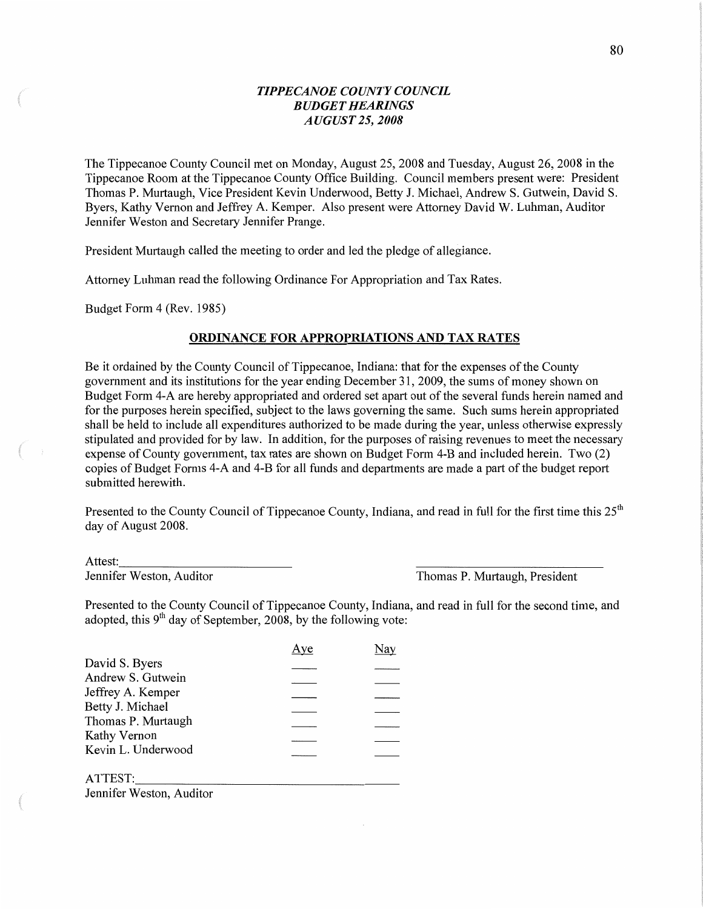## *TIPPECANOE COUNTY COUNCIL BUDGET HEARINGS AUGUST* 25, *2008*

The Tippecanoe County Council met on Monday, August 25, 2008 and Tuesday, August 26, 2008 in the Tippecanoe Room at the Tippecanoe County Office Building. Council members present were: President Thomas P. Murtaugh, **Vice** President Kevin Underwood, Betty J. Michael, Andrew S. Gutwein, David S. Byers, Kathy Vernon and Jeffrey A. Kemper. Also present were Attorney David W. Luhman, Auditor Jennifer Weston and Secretary Jennifer Prange.

President Murtaugh called the meeting to order and led the pledge of allegiance.

Attorney Luhman read the following Ordinance For Appropriation and Tax **Rates.** 

Budget **Form** 4 (Rev. 1985)

#### **ORDINANCE FOR APPROPRIATIONS AND TAX RATES**

Be it ordained by the County Council of Tippecanoe, Indiana: that for the expenses of the County government and its institutions for the year ending December 31, 2009, the sums of money shown on Budget Form 4-A are hereby appropriated and ordered set apart out of the several funds herein named and for the purposes herein specified, subject to the laws governing the **same.** Such **sums** herein appropriated shall be held to include all expenditures authorized to be made during the year, unless otherwise expressly stipulated and provided for by **law.** In addition, for the purposes of raising revenues to meet the necessary expense of County government, tax mtes are shown on Budget Form 4-B and included **herein.** Two (2) copies of Budget Forms 4-A and 4-B for all funds and departments are made a part of the budget report submitted herewith.

Presented to the County Council of Tippecanoe County, Indiana, and read in full for the first time this 25<sup>th</sup> day of August 2008.

Attest:

Jennifer Weston, Auditor Thomas P. Murtaugh, President

Presented to the County Council of Tippecanoe County, **Indiana,** and read in full for the second time, and adopted, this  $9<sup>th</sup>$  day of September, 2008, by the following vote:

|                    |  | <u>Aye</u> | Nay |  |
|--------------------|--|------------|-----|--|
| David S. Byers     |  |            |     |  |
| Andrew S. Gutwein  |  |            |     |  |
| Jeffrey A. Kemper  |  |            |     |  |
| Betty J. Michael   |  |            |     |  |
| Thomas P. Murtaugh |  |            |     |  |
| Kathy Vernon       |  |            |     |  |
| Kevin L. Underwood |  |            |     |  |
| ATTEST:            |  |            |     |  |

Jennifer Weston, Auditor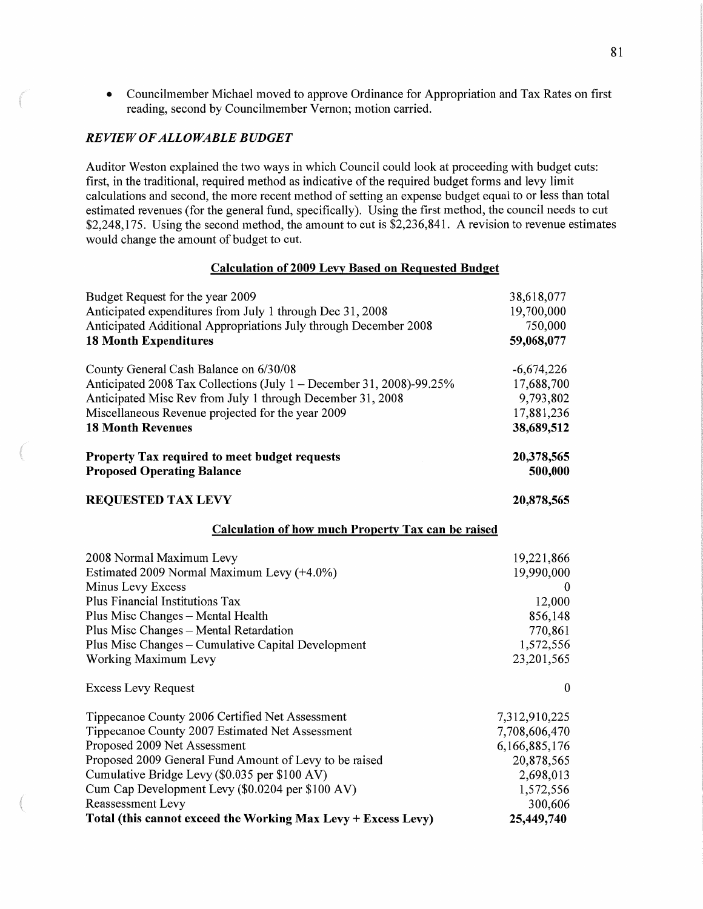**o** Councilmember Michael **moved** to approve Ordinance for Appropriation and Tax Rates on first reading, second by Councilmember Vernon; motion carried.

#### RE *VIEW* OF *ALLOWABLE BUDGET*

Auditor Weston explained the two ways in which Council could look at proceeding with budget cuts: first, in the traditional, required method as indicative of the required budget forms and levy limit calculations and second, the more recent method of setting an expense budget equal to or less than total estimated revenues (for the general fund, specifically). Using the first method, the council needs to cut \$2,248,175. Using the second method, the amount to cut is \$2,236,841. **A** revision to revenue estimates would change the amount of budget to cut.

#### **Calculation** of **2009 Lexy Based** on **Reguested Budget**

| Budget Request for the year 2009                                     | 38,618,077       |
|----------------------------------------------------------------------|------------------|
| Anticipated expenditures from July 1 through Dec 31, 2008            | 19,700,000       |
| Anticipated Additional Appropriations July through December 2008     | 750,000          |
| <b>18 Month Expenditures</b>                                         | 59,068,077       |
| County General Cash Balance on 6/30/08                               | $-6,674,226$     |
| Anticipated 2008 Tax Collections (July 1 – December 31, 2008)-99.25% | 17,688,700       |
| Anticipated Misc Rev from July 1 through December 31, 2008           | 9,793,802        |
| Miscellaneous Revenue projected for the year 2009                    | 17,881,236       |
| <b>18 Month Revenues</b>                                             | 38,689,512       |
| Property Tax required to meet budget requests                        | 20,378,565       |
| <b>Proposed Operating Balance</b>                                    | 500,000          |
| <b>REQUESTED TAX LEVY</b>                                            | 20,878,565       |
| <b>Calculation of how much Property Tax can be raised</b>            |                  |
| 2008 Normal Maximum Levy                                             | 19,221,866       |
| Estimated 2009 Normal Maximum Levy (+4.0%)                           | 19,990,000       |
| Minus Levy Excess                                                    | 0                |
| Plus Financial Institutions Tax                                      | 12,000           |
| Plus Misc Changes - Mental Health                                    | 856,148          |
| Plus Misc Changes - Mental Retardation                               | 770,861          |
| Plus Misc Changes - Cumulative Capital Development                   | 1,572,556        |
| Working Maximum Levy                                                 | 23,201,565       |
| <b>Excess Levy Request</b>                                           | $\boldsymbol{0}$ |
| Tippecanoe County 2006 Certified Net Assessment                      | 7,312,910,225    |
| Tippecanoe County 2007 Estimated Net Assessment                      | 7,708,606,470    |
| Proposed 2009 Net Assessment                                         | 6,166,885,176    |
| Proposed 2009 General Fund Amount of Levy to be raised               | 20,878,565       |
| Cumulative Bridge Levy (\$0.035 per \$100 AV)                        | 2,698,013        |
| Cum Cap Development Levy (\$0.0204 per \$100 AV)                     | 1,572,556        |
| Reassessment Levy                                                    | 300,606          |
| Total (this cannot exceed the Working Max Levy + Excess Levy)        | 25,449,740       |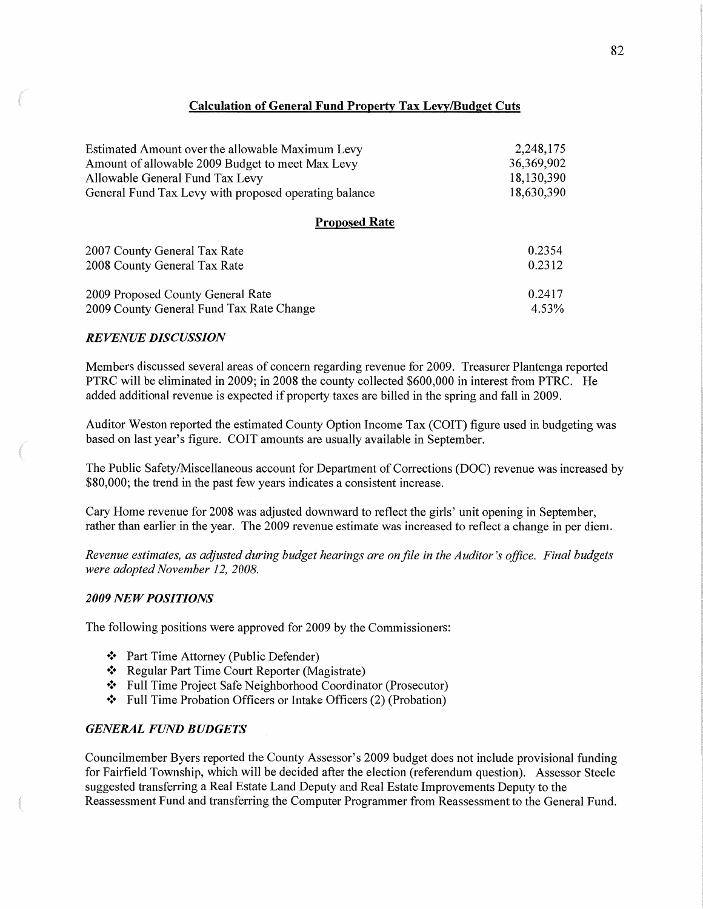# **Calculation** of **General Fund Properly** Tax **Leg/Budget Cuts**

| Estimated Amount over the allowable Maximum Levy      | 2,248,175  |
|-------------------------------------------------------|------------|
| Amount of allowable 2009 Budget to meet Max Levy      | 36,369,902 |
| Allowable General Fund Tax Levy                       | 18,130,390 |
| General Fund Tax Levy with proposed operating balance | 18,630,390 |

# **Proposed Rate**

| 2007 County General Tax Rate             | 0.2354 |
|------------------------------------------|--------|
| 2008 County General Tax Rate             | 0.2312 |
| 2009 Proposed County General Rate        | 0.2417 |
| 2009 County General Fund Tax Rate Change | 4.53%  |

#### *REVENUE DISCUSSION*

Members discussed several areas of concern regarding revenue for 2009. Treasurer Plantenga reported PTRC will be eliminated in 2009; in 2008 the county collected \$600,000 in interest from **PTRC.** He added additional revenue is expected if property taxes are billed in the spring and fall in 2009.

Auditor Weston reported the estimated County Option Income Tax (COIT) figure used in budgeting was based on last year's figure. COIT amounts are usually available in September.

The Public Safety/Miscellaneous account for Department of Corrections (DOC) revenue was increased by \$80,000; the trend in the past few years indicates a consistent increase.

Cary Home revenue for 2008 was adjusted downward to reflect the girls' unit opening in September, rather than earlier in the year. The 2009 revenue estimate was increased to reflect a change in per **diem.** 

*Revenue estimates,* as *adjusted during budget hearings* are on file in the *Auditor* 's *office. Final budgets were adopted November* 12, *2008.* 

#### **2009 NEW POSITIONS**

The following positions were approved for 2009 by the Commissioners:

- '3' Part Time Attorney (Public Defender)
- '3' Regular Part Time Court Reporter (Magistrate)
- '3' Full Time Project Safe Neighborhood Coordinator (Prosecutor)
- '3' Full Time Probation Officers or Intake Officers (2) (Probation)

# *GENERAL FUND BUDGETS*

Councilmember Byers reported the County Assessor's 2009 budget does not include provisional funding for Fairfield Township, which will be decided after the election (referendum question). Assessor Steele suggested transferring a Real Estate **Land** Deputy and Real Estate Improvements Deputy to the Reassessment Fund and transferring the Computer Programmer from Reassessment to the General Fund.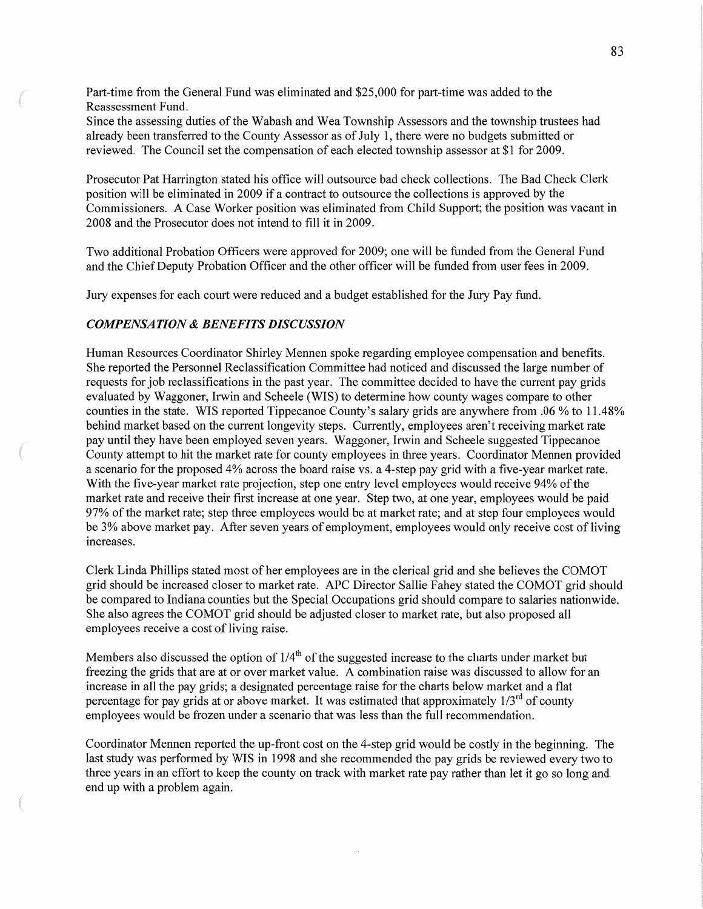Part-time from the General Fund was eliminated and \$25,000 for part-time was added to the Reassessment Fund.

Since the assessing duties of the Wabash and Wea Township Assessors and the township trustees had already been transferred to the County Assessor as of July 1, there were no budgets submitted or reviewed. The Council set the compensation of each elected township assessor at \$1 for 2009.

Prosecutor Pat Harrington stated his office will outsource bad check collections. The Bad Check Clerk position will be eliminated in 2009 if **a** contract to outsource the collections is approved by the Commissioners. **A** Case Worker position was eliminated from Child Support; the position was vacant in 2008 and the Prosecutor does not intend to fill it in 2009.

Two additional Probation Officers were approved for 2009; one will be funded from the General **Fund**  and the Chief Deputy Probation Officer and the other officer will be funded from user fees in 2009.

Jury expenses for each court were reduced and a budget established for the Jury Pay fund.

#### *COMPENSATION & BENEFITS DISCUSSION*

Human Resources Coordinator Shirley Mennen spoke regarding employee compensation and benefits. She reported the Personnel Reclassification Committee had noticed and discussed the large number of requests for job reclassifications in the past year. The committee decided to have the current pay grids evaluated by Waggoner, Irwin and Scheele (WIS) to determine how county wages compare to other counties in the state. WIS reported Tippecanoe County's salary grids are anywhere from .06 % to 11.48% behind market based on the current longevity steps. Currently, employees aren't receiving market rate pay until they have been employed seven years. Waggoner, Irwin and Scheele suggested Tippecanoe County attempt to hit the market rate for county employees in three years. Coordinator Mennen provided a scenario for the proposed 4% across the board raise vs. a 4—step pay grid with a five-year **market** rate. With the five-year market rate projection, step one entry level employees would receive 94% of the market rate and receive their first increase at one year. Step two, at one year, employees would be paid 97% of the market rate; step three employees would be at market rate; and at step four employees would be 3% above market pay. After seven years of employment, employees would only receive cost of living increases.

Clerk Linda Phillips stated most of her employees are in the clerical grid and she believes the COMOT grid should be increased closer to market rate. APC Director Sallie Fahey stated the COMOT grid should be compared to Indiana counties but the Special Occupations grid should compare to salaries nationwide. She also agrees the COMOT grid should be adjusted closer to market rate, but also proposed all employees receive a cost of living raise.

Members also discussed the option of  $1/4<sup>th</sup>$  of the suggested increase to the charts under market but freezing the grids that are at or over market value. A combination raise was discussed to allow for an increase in all the pay grids; a designated percentage raise for the charts below market and a flat percentage for pay grids at or above market. It was estimated that approximately  $1/3<sup>rd</sup>$  of county employees would be frozen under a scenario that was less than the full recommendation.

Coordinator Mennen reported the up-front cost on the 4-step grid would be costly in the beginning. The last study was performed by WIS in 1998 and she recommended the pay grids be reviewed every two to three years in an effort to keep the county on track with market rate pay rather than let it go so long and end up with **a** problem again.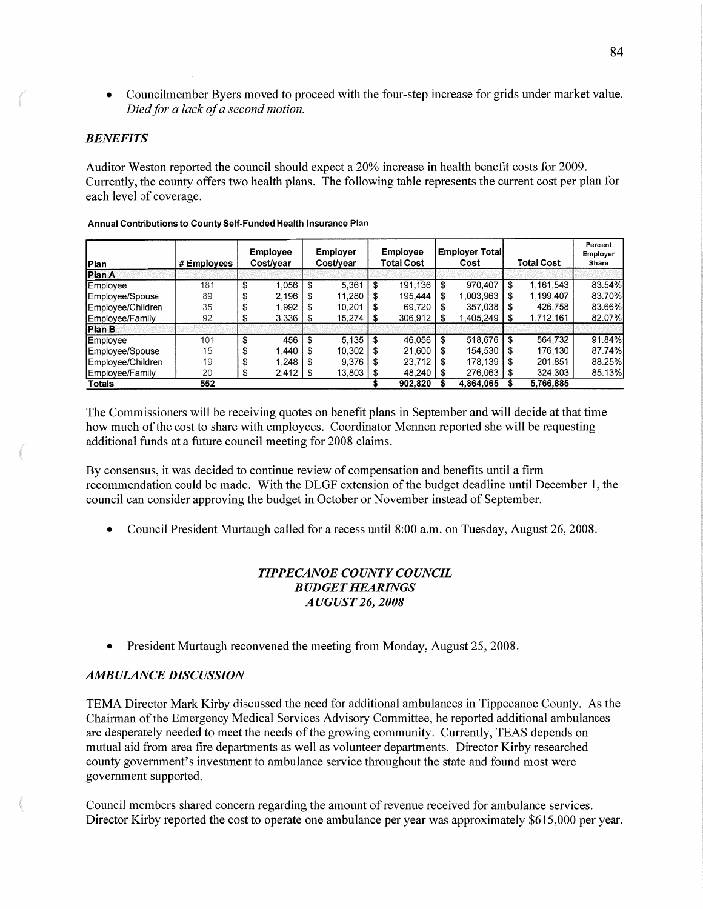**<sup>o</sup>**Councilmember Byers moved to proceed with the four-step increase for grids under market value. *Died* for *a lack* of *a second motion.* 

# *BENEFITS*

ama

Auditor Weston reported the council should expect a 20% increase in health benefit costs for 2009. Currently, the county offers two health plans. The following table represents the current cost per plan for each level of coverage.

| Plan              | # Employees | Employee<br>Cost/year |              | Employer<br><b>Cost/vear</b> |               | <b>Employee</b><br>Total Cost |                | <b>Employer Total</b><br>Cost |           | <b>Total Cost</b> |           | Percent<br>Employer<br>Share |
|-------------------|-------------|-----------------------|--------------|------------------------------|---------------|-------------------------------|----------------|-------------------------------|-----------|-------------------|-----------|------------------------------|
| Plan A            |             |                       |              |                              |               |                               |                |                               |           |                   |           |                              |
| Employee          | 181         | S                     | 1.056        |                              | 5.361         | \$                            | 191.136        | \$                            | 970,407   | \$                | 1,161,543 | 83.54%                       |
| Employee/Spouse   | 89          | \$                    | 2,196        | \$.                          | 11,280        |                               | 195,444        |                               | 1.003.963 | \$                | 1,199,407 | 83.70%                       |
| Employee/Children | 35          |                       | .992         |                              | 10.201        |                               | 69.720         |                               | 357,038   | \$.               | 426.758   | 83.66%                       |
| Employee/Family   | 92          |                       | $3,336$   \$ |                              | $15,274$   \$ |                               | $306,912$   \$ |                               | 1,405,249 | - \$              | 1,712,161 | 82.07%                       |
| Plan B            |             |                       |              |                              |               |                               |                |                               |           |                   |           |                              |
| Employee          | 101         | \$                    | 456          | \$                           | 5,135         |                               | 46.056         | \$.                           | 518,676   | \$                | 564,732   | 91.84%                       |
| Employee/Spouse   | 15          | \$                    | .440         |                              | 10,302        |                               | 21,600         |                               | 154,530   | S                 | 176,130   | 87.74%                       |
| Employee/Children | 19          | \$                    | 1.248        |                              | 9,376         |                               | 23,712         |                               | 178,139   |                   | 201,851   | 88.25%                       |
| Employee/Family   | 20          | S                     | $2,412$   \$ |                              | 13,803        |                               | 48.240   \$    |                               | 276,063   |                   | 324,303   | 85.13%                       |
| Totals            | 552         |                       |              |                              |               |                               | 902,820        |                               | 4,864,065 |                   | 5,766,885 |                              |

#### **Annual Contributions** to **County Self-Funded Health Insurance Plan**

The Commissioners will be receiving quotes on benefit plans in September and will decide at that time how much of the cost to share with employees. Coordinator Mennen reported she will be requesting additional funds at **a** future council meeting for 2008 claims.

By consensus, it was decided to continue review of compensation and benefits until a firm recommendation could be made. With the DLGF extension of the budget deadline until December 1, the council can consider approving the budget in October or November instead of September.

**0** Council President Murtaugh called for a recess until 8:00 am. on Tuesday, August 26, 2008.

# *TIPPECANOE COUNTY COUNCIL BUDGET HEARINGS AUGUST* 26, *2008*

**0** President Murtaugh reconvened the meeting from Monday, August 25, 2008.

#### *AMBULANCE DISCUSSION*

TEMA Director Mark Kirby discussed the need for additional ambulances in Tippecanoe County. As the **Chairman** of the Emergency Medical Services Advisory Committee, he reported additional ambulances are desperately needed to meet the needs of the growing community. Currently, TEAS depends on mutual aid from area fire departments as well as volunteer departments. Director Kirby researched county government's investment to ambulance service throughout the state and found most were government supported.

Council members shared concern regarding the amount of revenue received for ambulance **services.**  Director Kirby reported the cost to operate one ambulance per year was approximately \$615,000 per year.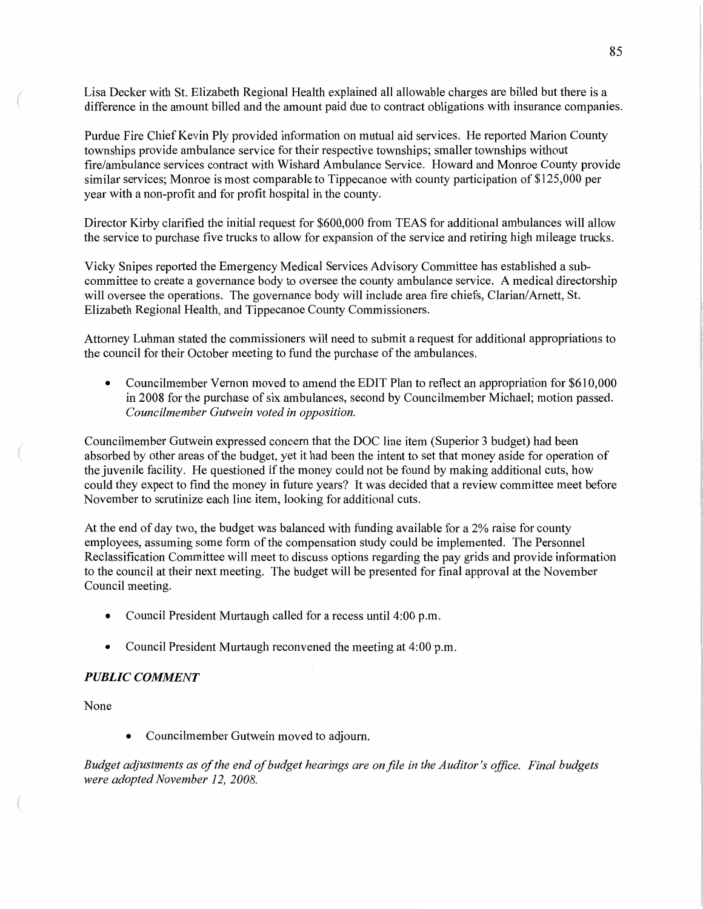Lisa Decker with St. Elizabeth Regional Health explained all allowable charges are billed but there is <sup>a</sup> difference in the amount billed and the amount paid due to contract obligations with insurance companies.

Purdue Fire Chief Kevin Ply provided information on mutual aid services. He reported Marion County townships provide ambulance service for their respective townships; smaller townships without fire/ambulance services contract with Wishard Ambulance Service. Howard and Monroe County provide similar services; Monroe is most comparable to Tippecanoe with county participation of \$125,000 per year with a **non-profit** and for profit hospital in the county.

Director Kirby clarified the initial request for \$600,000 from TEAS for additional ambulances will allow the service to purchase five trucks to allow for expansion of the service and retiring high mileage trucks.

Vicky Snipes reported the Emergency Medical Services Advisory Committee has established a subcommittee to create a governance body to oversee the county ambulance service. A medical directorship will oversee the operations. The governance body will include area fire chiefs, Clarian/Arnett, St. Elizabeth Regional Health, and Tippecanoe County Commissioners.

Attorney Luhman stated the commissioners will need to submit a request for additional appropriations to the council for their October meeting to fund the purchase of the ambulances.

• Councilmember Vernon moved to amend the EDIT Plan to reflect an appropriation for \$610,000 in 2008 for the purchase of six ambulances, second by Councilmember Michael; motion passed. *Councilmember Gutwein voted* in *opposition.* 

Councilmember Gutwein expressed concern that the DOC line item (Superior 3 budget) had been absorbed by other areas of the budget, yet it had been the intent to set that money aside for operation of the juvenile facility. He questioned if the money could not be found by making additional cuts, how could they expect to find the money in future years? It was decided that a review committee meet before November to scrutinize each line item, looking for additional cuts.

At the end of day two, the budget was balanced with funding available for a 2% raise for county employees, assuming **some** form of the compensation study could be implemented. The Personnel Reclassification Committee will meet to discuss options regarding the pay grids and provide information to the council at their next meeting. The budget will be presented for final approval at the November Council meeting.

- **0** Council President Murtaugh called for a recess until 4:00 pm.
- Council President Murtaugh reconvened the meeting at 4:00 p.m.

#### *PUBLIC COMMENT*

None

**0** Councilmember Gutwein moved to **adjoum.** 

*Budget adjustments* as of the end of *budget hearings* are on file in the *Auditor's ofiice. Final budgets were adopted November* 12, *2008.*